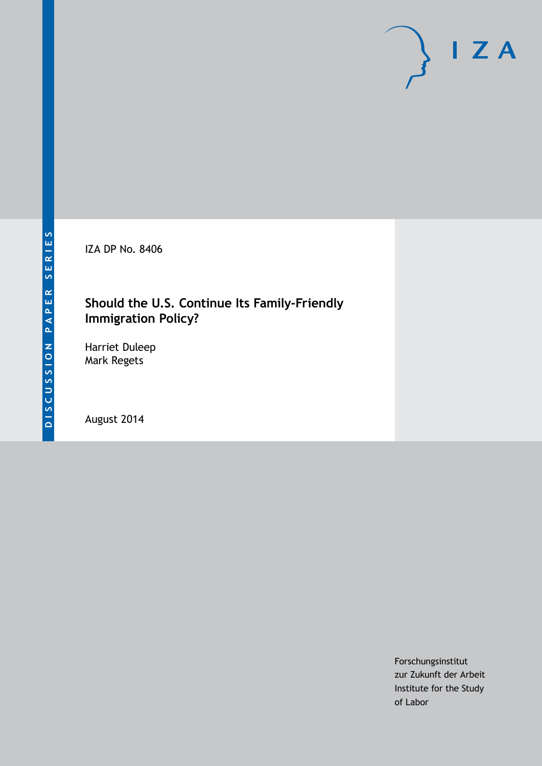IZA DP No. 8406

## **Should the U.S. Continue Its Family-Friendly Immigration Policy?**

Harriet Duleep Mark Regets

August 2014

Forschungsinstitut zur Zukunft der Arbeit Institute for the Study of Labor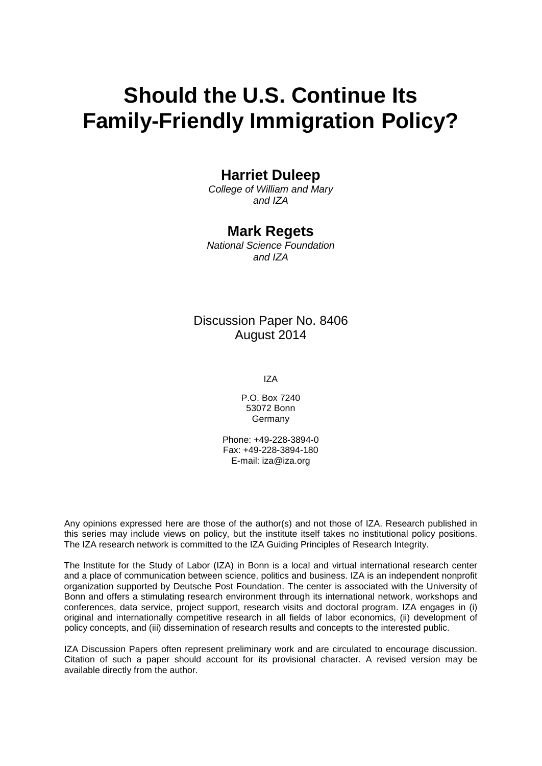# **Should the U.S. Continue Its Family-Friendly Immigration Policy?**

## **Harriet Duleep**

*College of William and Mary and IZA*

## **Mark Regets**

*National Science Foundation and IZA*

## Discussion Paper No. 8406 August 2014

IZA

P.O. Box 7240 53072 Bonn Germany

Phone: +49-228-3894-0 Fax: +49-228-3894-180 E-mail: [iza@iza.org](mailto:iza@iza.org)

Any opinions expressed here are those of the author(s) and not those of IZA. Research published in this series may include views on policy, but the institute itself takes no institutional policy positions. The IZA research network is committed to the IZA Guiding Principles of Research Integrity.

The Institute for the Study of Labor (IZA) in Bonn is a local and virtual international research center and a place of communication between science, politics and business. IZA is an independent nonprofit organization supported by Deutsche Post Foundation. The center is associated with the University of Bonn and offers a stimulating research environment through its international network, workshops and conferences, data service, project support, research visits and doctoral program. IZA engages in (i) original and internationally competitive research in all fields of labor economics, (ii) development of policy concepts, and (iii) dissemination of research results and concepts to the interested public.

<span id="page-1-0"></span>IZA Discussion Papers often represent preliminary work and are circulated to encourage discussion. Citation of such a paper should account for its provisional character. A revised version may be available directly from the author.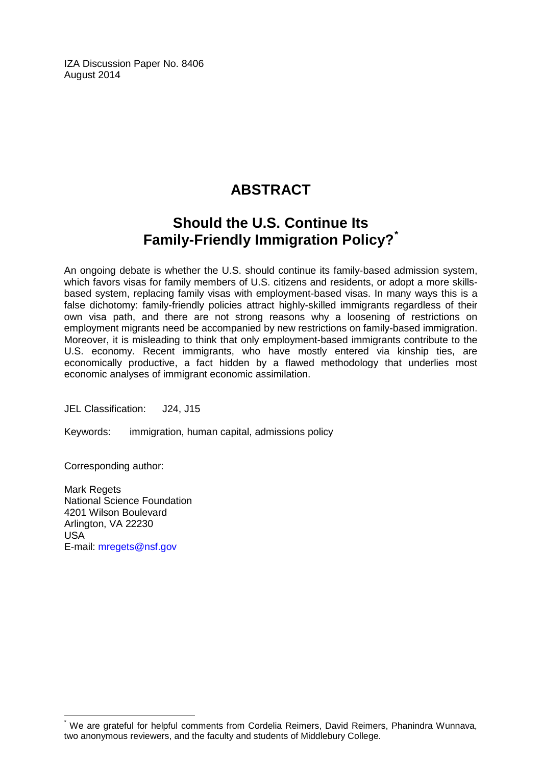IZA Discussion Paper No. 8406 August 2014

# **ABSTRACT**

# **Should the U.S. Continue Its Family-Friendly Immigration Policy?[\\*](#page-1-0)**

An ongoing debate is whether the U.S. should continue its family-based admission system, which favors visas for family members of U.S. citizens and residents, or adopt a more skillsbased system, replacing family visas with employment-based visas. In many ways this is a false dichotomy: family-friendly policies attract highly-skilled immigrants regardless of their own visa path, and there are not strong reasons why a loosening of restrictions on employment migrants need be accompanied by new restrictions on family-based immigration. Moreover, it is misleading to think that only employment-based immigrants contribute to the U.S. economy. Recent immigrants, who have mostly entered via kinship ties, are economically productive, a fact hidden by a flawed methodology that underlies most economic analyses of immigrant economic assimilation.

JEL Classification: J24, J15

Keywords: immigration, human capital, admissions policy

Corresponding author:

Mark Regets National Science Foundation 4201 Wilson Boulevard Arlington, VA 22230 USA E-mail: [mregets@nsf.gov](mailto:mregets@nsf.gov)

We are grateful for helpful comments from Cordelia Reimers, David Reimers, Phanindra Wunnava, two anonymous reviewers, and the faculty and students of Middlebury College.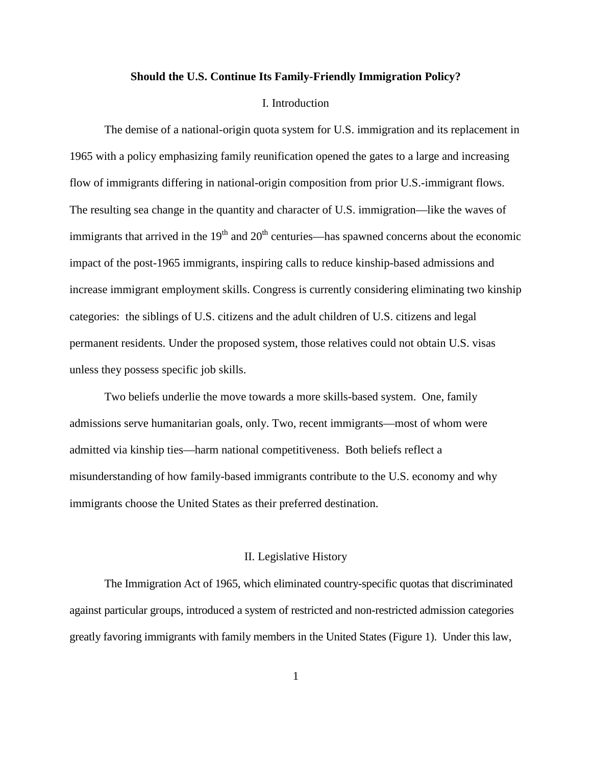#### **Should the U.S. Continue Its Family-Friendly Immigration Policy?**

#### I. Introduction

The demise of a national-origin quota system for U.S. immigration and its replacement in 1965 with a policy emphasizing family reunification opened the gates to a large and increasing flow of immigrants differing in national-origin composition from prior U.S.-immigrant flows. The resulting sea change in the quantity and character of U.S. immigration—like the waves of immigrants that arrived in the  $19<sup>th</sup>$  and  $20<sup>th</sup>$  centuries—has spawned concerns about the economic impact of the post-1965 immigrants, inspiring calls to reduce kinship-based admissions and increase immigrant employment skills. Congress is currently considering eliminating two kinship categories: the siblings of U.S. citizens and the adult children of U.S. citizens and legal permanent residents. Under the proposed system, those relatives could not obtain U.S. visas unless they possess specific job skills.

Two beliefs underlie the move towards a more skills-based system. One, family admissions serve humanitarian goals, only. Two, recent immigrants—most of whom were admitted via kinship ties—harm national competitiveness. Both beliefs reflect a misunderstanding of how family-based immigrants contribute to the U.S. economy and why immigrants choose the United States as their preferred destination.

#### II. Legislative History

The Immigration Act of 1965, which eliminated country-specific quotas that discriminated against particular groups, introduced a system of restricted and non-restricted admission categories greatly favoring immigrants with family members in the United States (Figure 1). Under this law,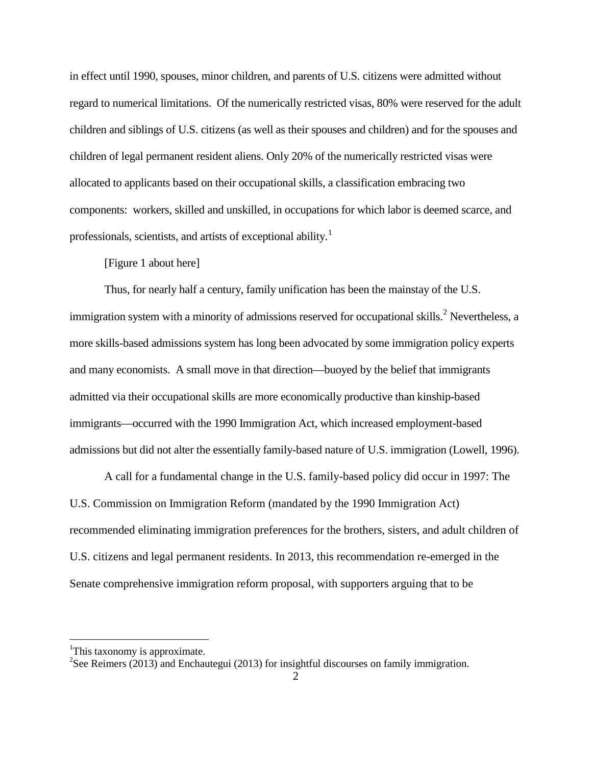in effect until 1990, spouses, minor children, and parents of U.S. citizens were admitted without regard to numerical limitations. Of the numerically restricted visas, 80% were reserved for the adult children and siblings of U.S. citizens (as well as their spouses and children) and for the spouses and children of legal permanent resident aliens. Only 20% of the numerically restricted visas were allocated to applicants based on their occupational skills, a classification embracing two components: workers, skilled and unskilled, in occupations for which labor is deemed scarce, and professionals, scientists, and artists of exceptional ability.<sup>1</sup>

#### [Figure 1 about here]

Thus, for nearly half a century, family unification has been the mainstay of the U.S. immigration system with a minority of admissions reserved for occupational skills.<sup>[2](#page-4-0)</sup> Nevertheless, a more skills-based admissions system has long been advocated by some immigration policy experts and many economists. A small move in that direction—buoyed by the belief that immigrants admitted via their occupational skills are more economically productive than kinship-based immigrants—occurred with the 1990 Immigration Act, which increased employment-based admissions but did not alter the essentially family-based nature of U.S. immigration (Lowell, 1996).

A call for a fundamental change in the U.S. family-based policy did occur in 1997: The U.S. Commission on Immigration Reform (mandated by the 1990 Immigration Act) recommended eliminating immigration preferences for the brothers, sisters, and adult children of U.S. citizens and legal permanent residents. In 2013, this recommendation re-emerged in the Senate comprehensive immigration reform proposal, with supporters arguing that to be

<span id="page-4-1"></span><sup>|&</sup>lt;br>|<br>| <sup>1</sup>This taxonomy is approximate.

<span id="page-4-0"></span><sup>&</sup>lt;sup>2</sup>See Reimers (2013) and Enchautegui (2013) for insightful discourses on family immigration.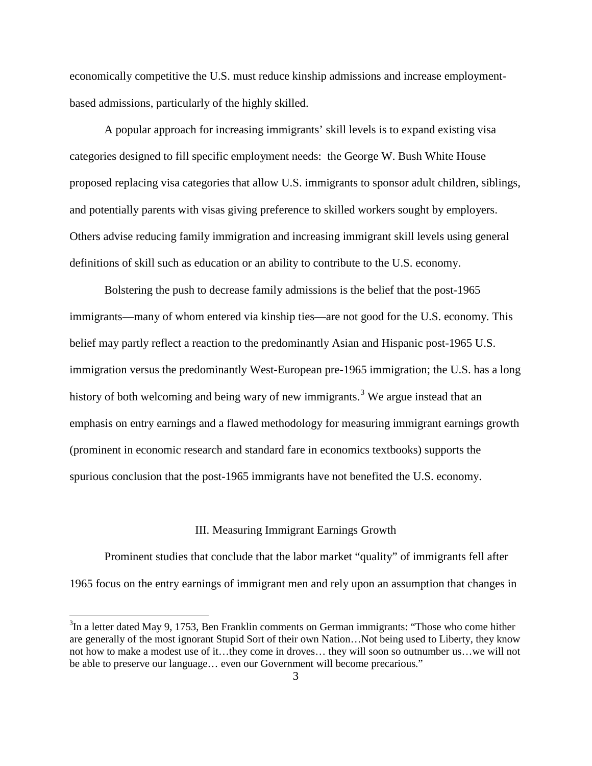economically competitive the U.S. must reduce kinship admissions and increase employmentbased admissions, particularly of the highly skilled.

A popular approach for increasing immigrants' skill levels is to expand existing visa categories designed to fill specific employment needs: the George W. Bush White House proposed replacing visa categories that allow U.S. immigrants to sponsor adult children, siblings, and potentially parents with visas giving preference to skilled workers sought by employers. Others advise reducing family immigration and increasing immigrant skill levels using general definitions of skill such as education or an ability to contribute to the U.S. economy.

Bolstering the push to decrease family admissions is the belief that the post-1965 immigrants—many of whom entered via kinship ties—are not good for the U.S. economy. This belief may partly reflect a reaction to the predominantly Asian and Hispanic post-1965 U.S. immigration versus the predominantly West-European pre-1965 immigration; the U.S. has a long history of both welcoming and being wary of new immigrants.<sup>[3](#page-4-1)</sup> We argue instead that an emphasis on entry earnings and a flawed methodology for measuring immigrant earnings growth (prominent in economic research and standard fare in economics textbooks) supports the spurious conclusion that the post-1965 immigrants have not benefited the U.S. economy.

#### III. Measuring Immigrant Earnings Growth

Prominent studies that conclude that the labor market "quality" of immigrants fell after 1965 focus on the entry earnings of immigrant men and rely upon an assumption that changes in

<span id="page-5-0"></span> <sup>3</sup>  $3$ In a letter dated May 9, 1753, Ben Franklin comments on German immigrants: "Those who come hither are generally of the most ignorant Stupid Sort of their own Nation…Not being used to Liberty, they know not how to make a modest use of it…they come in droves… they will soon so outnumber us…we will not be able to preserve our language… even our Government will become precarious."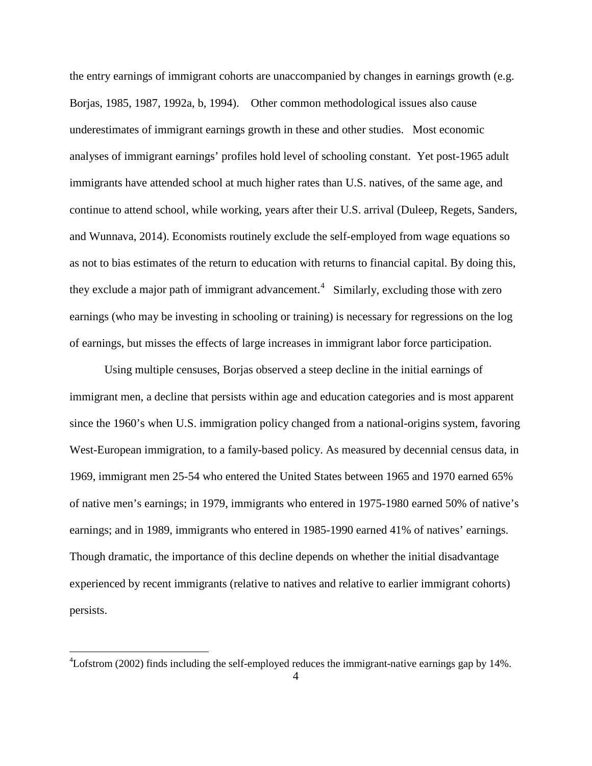the entry earnings of immigrant cohorts are unaccompanied by changes in earnings growth (e.g. Borjas, 1985, 1987, 1992a, b, 1994). Other common methodological issues also cause underestimates of immigrant earnings growth in these and other studies. Most economic analyses of immigrant earnings' profiles hold level of schooling constant. Yet post-1965 adult immigrants have attended school at much higher rates than U.S. natives, of the same age, and continue to attend school, while working, years after their U.S. arrival (Duleep, Regets, Sanders, and Wunnava, 2014). Economists routinely exclude the self-employed from wage equations so as not to bias estimates of the return to education with returns to financial capital. By doing this, they exclude a major path of immigrant advancement.<sup>[4](#page-5-0)</sup> Similarly, excluding those with zero earnings (who may be investing in schooling or training) is necessary for regressions on the log of earnings, but misses the effects of large increases in immigrant labor force participation.

Using multiple censuses, Borjas observed a steep decline in the initial earnings of immigrant men, a decline that persists within age and education categories and is most apparent since the 1960's when U.S. immigration policy changed from a national-origins system, favoring West-European immigration, to a family-based policy. As measured by decennial census data, in 1969, immigrant men 25-54 who entered the United States between 1965 and 1970 earned 65% of native men's earnings; in 1979, immigrants who entered in 1975-1980 earned 50% of native's earnings; and in 1989, immigrants who entered in 1985-1990 earned 41% of natives' earnings. Though dramatic, the importance of this decline depends on whether the initial disadvantage experienced by recent immigrants (relative to natives and relative to earlier immigrant cohorts) persists.

<span id="page-6-0"></span> $\frac{1}{4}$  $\text{Lofstrom}$  (2002) finds including the self-employed reduces the immigrant-native earnings gap by 14%.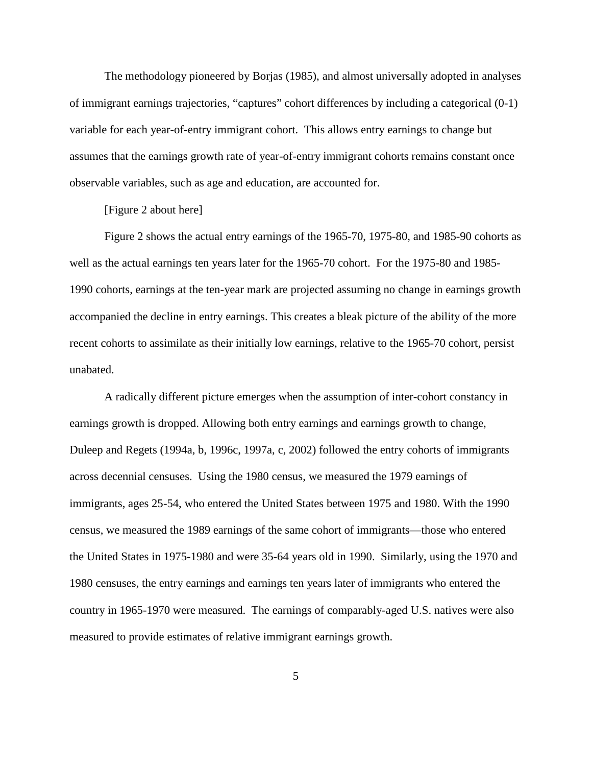The methodology pioneered by Borjas (1985), and almost universally adopted in analyses of immigrant earnings trajectories, "captures" cohort differences by including a categorical (0-1) variable for each year-of-entry immigrant cohort. This allows entry earnings to change but assumes that the earnings growth rate of year-of-entry immigrant cohorts remains constant once observable variables, such as age and education, are accounted for.

[Figure 2 about here]

Figure 2 shows the actual entry earnings of the 1965-70, 1975-80, and 1985-90 cohorts as well as the actual earnings ten years later for the 1965-70 cohort. For the 1975-80 and 1985- 1990 cohorts, earnings at the ten-year mark are projected assuming no change in earnings growth accompanied the decline in entry earnings. This creates a bleak picture of the ability of the more recent cohorts to assimilate as their initially low earnings, relative to the 1965-70 cohort, persist unabated.

A radically different picture emerges when the assumption of inter-cohort constancy in earnings growth is dropped. Allowing both entry earnings and earnings growth to change, Duleep and Regets (1994a, b, 1996c, 1997a, c, 2002) followed the entry cohorts of immigrants across decennial censuses. Using the 1980 census, we measured the 1979 earnings of immigrants, ages 25-54, who entered the United States between 1975 and 1980. With the 1990 census, we measured the 1989 earnings of the same cohort of immigrants—those who entered the United States in 1975-1980 and were 35-64 years old in 1990. Similarly, using the 1970 and 1980 censuses, the entry earnings and earnings ten years later of immigrants who entered the country in 1965-1970 were measured. The earnings of comparably-aged U.S. natives were also measured to provide estimates of relative immigrant earnings growth.

5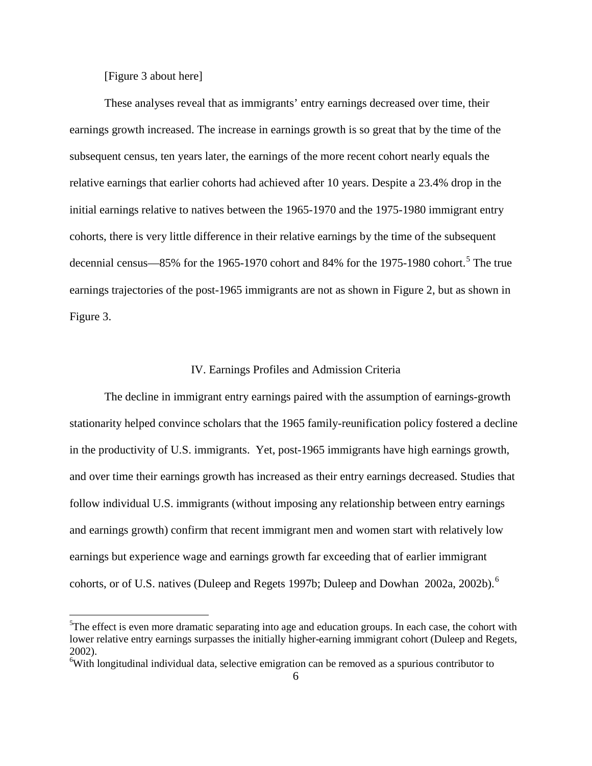[Figure 3 about here]

These analyses reveal that as immigrants' entry earnings decreased over time, their earnings growth increased. The increase in earnings growth is so great that by the time of the subsequent census, ten years later, the earnings of the more recent cohort nearly equals the relative earnings that earlier cohorts had achieved after 10 years. Despite a 23.4% drop in the initial earnings relative to natives between the 1965-1970 and the 1975-1980 immigrant entry cohorts, there is very little difference in their relative earnings by the time of the subsequent decennial census—8[5](#page-6-0)% for the 1965-1970 cohort and 84% for the 1975-1980 cohort.<sup>5</sup> The true earnings trajectories of the post-1965 immigrants are not as shown in Figure 2, but as shown in Figure 3.

#### IV. Earnings Profiles and Admission Criteria

The decline in immigrant entry earnings paired with the assumption of earnings-growth stationarity helped convince scholars that the 1965 family-reunification policy fostered a decline in the productivity of U.S. immigrants. Yet, post-1965 immigrants have high earnings growth, and over time their earnings growth has increased as their entry earnings decreased. Studies that follow individual U.S. immigrants (without imposing any relationship between entry earnings and earnings growth) confirm that recent immigrant men and women start with relatively low earnings but experience wage and earnings growth far exceeding that of earlier immigrant cohorts, or of U.S. natives (Duleep and Regets 1997b; Duleep and Dowhan 2002a, 2002b).<sup>[6](#page-8-0)</sup>

<span id="page-8-1"></span> <sup>5</sup>  ${}^{5}$ The effect is even more dramatic separating into age and education groups. In each case, the cohort with lower relative entry earnings surpasses the initially higher-earning immigrant cohort (Duleep and Regets, 2002).

<span id="page-8-0"></span><sup>&</sup>lt;sup>6</sup>With longitudinal individual data, selective emigration can be removed as a spurious contributor to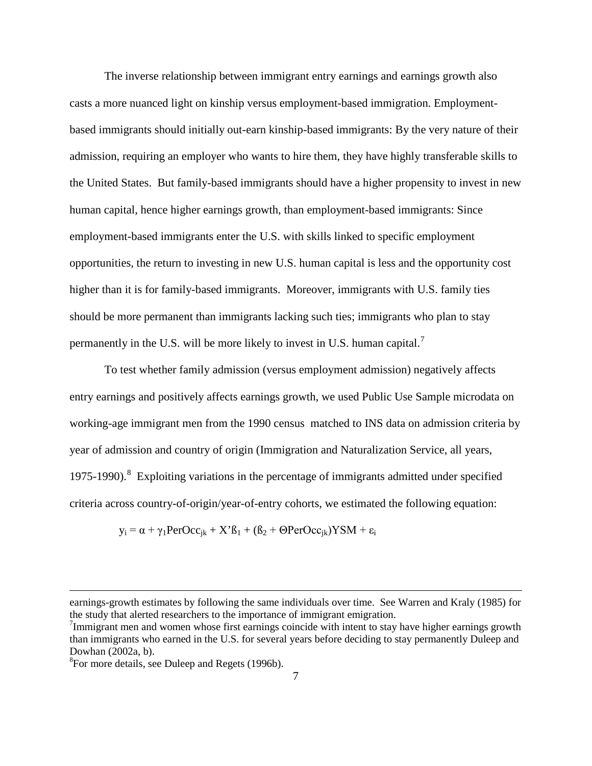The inverse relationship between immigrant entry earnings and earnings growth also casts a more nuanced light on kinship versus employment-based immigration. Employmentbased immigrants should initially out-earn kinship-based immigrants: By the very nature of their admission, requiring an employer who wants to hire them, they have highly transferable skills to the United States. But family-based immigrants should have a higher propensity to invest in new human capital, hence higher earnings growth, than employment-based immigrants: Since employment-based immigrants enter the U.S. with skills linked to specific employment opportunities, the return to investing in new U.S. human capital is less and the opportunity cost higher than it is for family-based immigrants. Moreover, immigrants with U.S. family ties should be more permanent than immigrants lacking such ties; immigrants who plan to stay permanently in the U.S. will be more likely to invest in U.S. human capital.<sup>[7](#page-8-1)</sup>

To test whether family admission (versus employment admission) negatively affects entry earnings and positively affects earnings growth, we used Public Use Sample microdata on working-age immigrant men from the 1990 census matched to INS data on admission criteria by year of admission and country of origin (Immigration and Naturalization Service, all years, 1975-1990).<sup>[8](#page-9-0)</sup> Exploiting variations in the percentage of immigrants admitted under specified criteria across country-of-origin/year-of-entry cohorts, we estimated the following equation:

$$
y_i = \alpha + \gamma_1 PerOcc_{jk} + X'\beta_1 + (\beta_2 + \Theta PerOcc_{jk})YSM + \varepsilon_i
$$

 $\overline{a}$ 

<span id="page-9-1"></span>earnings-growth estimates by following the same individuals over time. See Warren and Kraly (1985) for the study that alerted researchers to the importance of immigrant emigration.

 $7$ Immigrant men and women whose first earnings coincide with intent to stay have higher earnings growth than immigrants who earned in the U.S. for several years before deciding to stay permanently Duleep and Dowhan  $(2002a, b)$ .

<span id="page-9-0"></span><sup>&</sup>lt;sup>8</sup>For more details, see Duleep and Regets (1996b).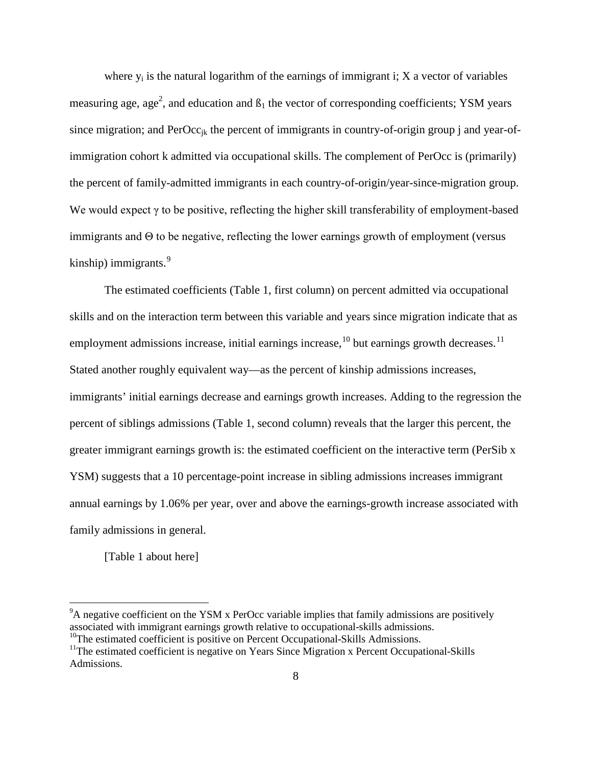where  $y_i$  is the natural logarithm of the earnings of immigrant i; X a vector of variables measuring age, age<sup>2</sup>, and education and  $\beta_1$  the vector of corresponding coefficients; YSM years since migration; and  $PerOcc_{ik}$  the percent of immigrants in country-of-origin group j and year-ofimmigration cohort k admitted via occupational skills. The complement of PerOcc is (primarily) the percent of family-admitted immigrants in each country-of-origin/year-since-migration group. We would expect γ to be positive, reflecting the higher skill transferability of employment-based immigrants and Θ to be negative, reflecting the lower earnings growth of employment (versus kinship) immigrants.<sup>[9](#page-9-1)</sup>

The estimated coefficients (Table 1, first column) on percent admitted via occupational skills and on the interaction term between this variable and years since migration indicate that as employment admissions increase, initial earnings increase,  $^{10}$  $^{10}$  $^{10}$  but earnings growth decreases.  $^{11}$  $^{11}$  $^{11}$ Stated another roughly equivalent way—as the percent of kinship admissions increases, immigrants' initial earnings decrease and earnings growth increases. Adding to the regression the percent of siblings admissions (Table 1, second column) reveals that the larger this percent, the greater immigrant earnings growth is: the estimated coefficient on the interactive term (PerSib x YSM) suggests that a 10 percentage-point increase in sibling admissions increases immigrant annual earnings by 1.06% per year, over and above the earnings-growth increase associated with family admissions in general.

[Table 1 about here]

<sup>-&</sup>lt;br>9  $\rm{P_{A}}$  negative coefficient on the YSM x PerOcc variable implies that family admissions are positively associated with immigrant earnings growth relative to occupational-skills admissions.

<span id="page-10-0"></span><sup>&</sup>lt;sup>10</sup>The estimated coefficient is positive on Percent Occupational-Skills Admissions.

<span id="page-10-1"></span><sup>&</sup>lt;sup>11</sup>The estimated coefficient is negative on Years Since Migration x Percent Occupational-Skills Admissions.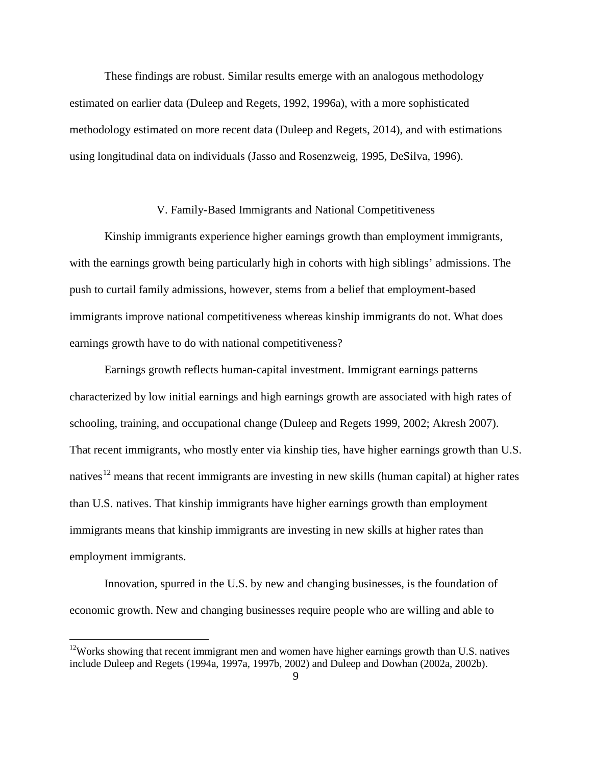These findings are robust. Similar results emerge with an analogous methodology estimated on earlier data (Duleep and Regets, 1992, 1996a), with a more sophisticated methodology estimated on more recent data (Duleep and Regets, 2014), and with estimations using longitudinal data on individuals (Jasso and Rosenzweig, 1995, DeSilva, 1996).

#### V. Family-Based Immigrants and National Competitiveness

Kinship immigrants experience higher earnings growth than employment immigrants, with the earnings growth being particularly high in cohorts with high siblings' admissions. The push to curtail family admissions, however, stems from a belief that employment-based immigrants improve national competitiveness whereas kinship immigrants do not. What does earnings growth have to do with national competitiveness?

Earnings growth reflects human-capital investment. Immigrant earnings patterns characterized by low initial earnings and high earnings growth are associated with high rates of schooling, training, and occupational change (Duleep and Regets 1999, 2002; Akresh 2007). That recent immigrants, who mostly enter via kinship ties, have higher earnings growth than U.S. natives<sup>[12](#page-10-1)</sup> means that recent immigrants are investing in new skills (human capital) at higher rates than U.S. natives. That kinship immigrants have higher earnings growth than employment immigrants means that kinship immigrants are investing in new skills at higher rates than employment immigrants.

<span id="page-11-0"></span>Innovation, spurred in the U.S. by new and changing businesses, is the foundation of economic growth. New and changing businesses require people who are willing and able to

<sup>&</sup>lt;sup>12</sup>Works showing that recent immigrant men and women have higher earnings growth than U.S. natives include Duleep and Regets (1994a, 1997a, 1997b, 2002) and Duleep and Dowhan (2002a, 2002b).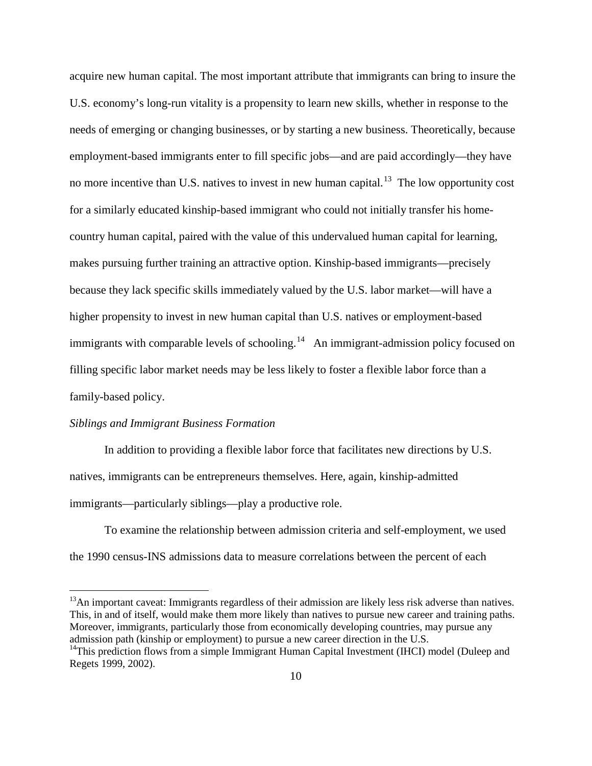acquire new human capital. The most important attribute that immigrants can bring to insure the U.S. economy's long-run vitality is a propensity to learn new skills, whether in response to the needs of emerging or changing businesses, or by starting a new business. Theoretically, because employment-based immigrants enter to fill specific jobs—and are paid accordingly—they have no more incentive than U.S. natives to invest in new human capital.<sup>[13](#page-11-0)</sup> The low opportunity cost for a similarly educated kinship-based immigrant who could not initially transfer his homecountry human capital, paired with the value of this undervalued human capital for learning, makes pursuing further training an attractive option. Kinship-based immigrants—precisely because they lack specific skills immediately valued by the U.S. labor market—will have a higher propensity to invest in new human capital than U.S. natives or employment-based immigrants with comparable levels of schooling.<sup>[14](#page-12-0)</sup> An immigrant-admission policy focused on filling specific labor market needs may be less likely to foster a flexible labor force than a family-based policy.

#### *Siblings and Immigrant Business Formation*

In addition to providing a flexible labor force that facilitates new directions by U.S. natives, immigrants can be entrepreneurs themselves. Here, again, kinship-admitted immigrants—particularly siblings—play a productive role.

To examine the relationship between admission criteria and self-employment, we used the 1990 census-INS admissions data to measure correlations between the percent of each

 $13$ An important caveat: Immigrants regardless of their admission are likely less risk adverse than natives. This, in and of itself, would make them more likely than natives to pursue new career and training paths. Moreover, immigrants, particularly those from economically developing countries, may pursue any admission path (kinship or employment) to pursue a new career direction in the U.S.

<span id="page-12-0"></span><sup>&</sup>lt;sup>14</sup>This prediction flows from a simple Immigrant Human Capital Investment (IHCI) model (Duleep and Regets 1999, 2002).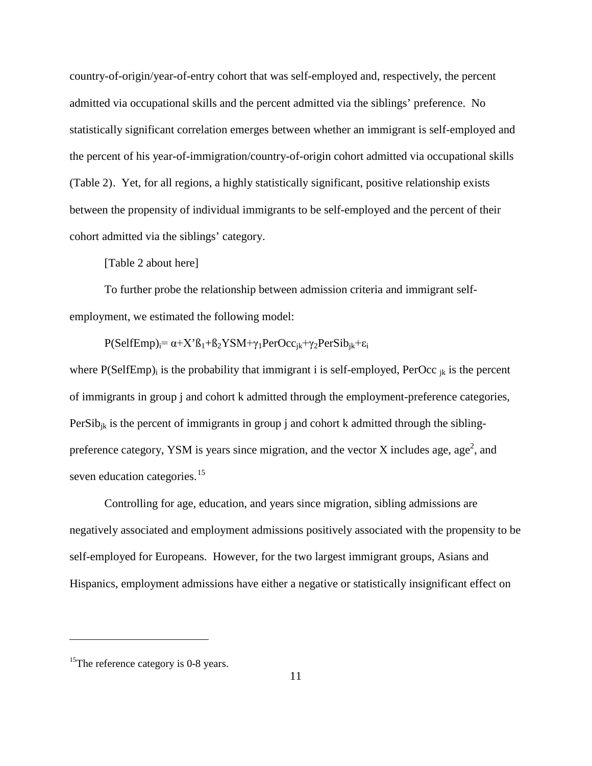country-of-origin/year-of-entry cohort that was self-employed and, respectively, the percent admitted via occupational skills and the percent admitted via the siblings' preference. No statistically significant correlation emerges between whether an immigrant is self-employed and the percent of his year-of-immigration/country-of-origin cohort admitted via occupational skills (Table 2)[. Y](#page-12-0)et, for all regions, a highly statistically significant, positive relationship exists between the propensity of individual immigrants to be self-employed and the percent of their cohort admitted via the siblings' category.

[Table 2 about here]

To further probe the relationship between admission criteria and immigrant selfemployment, we estimated the following model:

 $P(SelfEmp)<sub>i</sub>= \alpha+X<sup>i</sup>B<sub>1</sub>+B<sub>2</sub>YSM+\gamma<sub>1</sub>PerOcc<sub>ik</sub>+\gamma<sub>2</sub>PerSib<sub>ik</sub>+\varepsilon<sub>i</sub>$ 

where  $P(SelfEmp)$  is the probability that immigrant i is self-employed,  $Percc_{ik}$  is the percent of immigrants in group j and cohort k admitted through the employment-preference categories,  $PerSib_{ik}$  is the percent of immigrants in group j and cohort k admitted through the siblingpreference category, YSM is years since migration, and the vector X includes age, age<sup>2</sup>, and seven education categories.<sup>[15](#page-13-0)</sup>

Controlling for age, education, and years since migration, sibling admissions are negatively associated and employment admissions positively associated with the propensity to be self-employed for Europeans. However, for the two largest immigrant groups, Asians and Hispanics, employment admissions have either a negative or statistically insignificant effect on

 $\overline{a}$ 

<span id="page-13-0"></span><sup>&</sup>lt;sup>15</sup>The reference category is 0-8 years.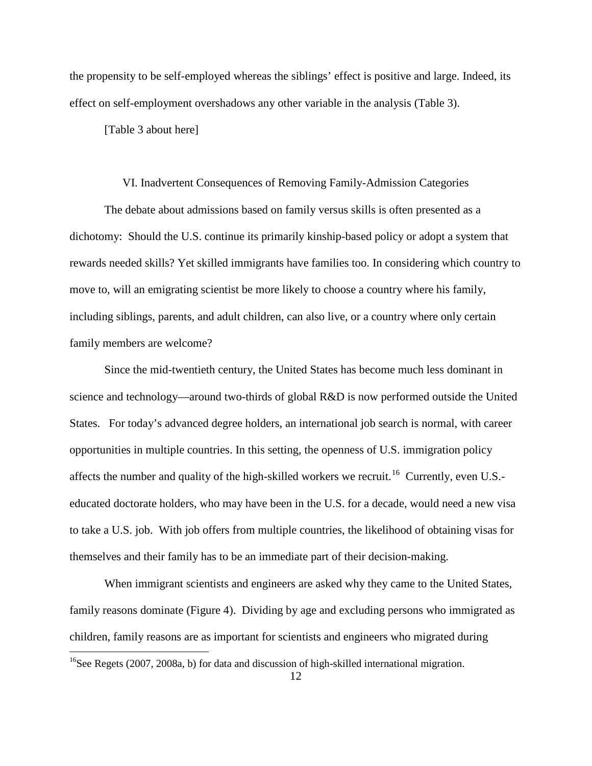the propensity to be self-employed whereas the siblings' effect is positive and large. Indeed, its effect on self-employment overshadows any other variable in the analysis (Table 3).

[Table 3 about here]

#### VI. Inadvertent Consequences of Removing Family-Admission Categories

The debate about admissions based on family versus skills is often presented as a dichotomy: Should the U.S. continue its primarily kinship-based policy or adopt a system that rewards needed skills? Yet skilled immigrants have families too. In considering which country to move to, will an emigrating scientist be more likely to choose a country where his family, including siblings, parents, and adult children, can also live, or a country where only certain family members are welcome?

Since the mid-twentieth century, the United States has become much less dominant in science and technology—around two-thirds of global R&D is now performed outside the United States. For today's advanced degree holders, an international job search is normal, with career opportunities in multiple countries. In this setting, the openness of U.S. immigration policy affects the number and quality of the high-skilled workers we recruit.<sup>16</sup> Currently, even U.S.educated doctorate holders, who may have been in the U.S. for a decade, would need a new visa to take a U.S. job. With job offers from multiple countries, the likelihood of obtaining visas for themselves and their family has to be an immediate part of their decision-making.

When immigrant scientists and engineers are asked why they came to the United States, family reasons dominate (Figure 4). Dividing by age and excluding persons who immigrated as children, family reasons are as important for scientists and engineers who migrated during

<span id="page-14-0"></span><sup>&</sup>lt;sup>16</sup>See Regets (2007, 2008a, b) for data and discussion of high-skilled international migration.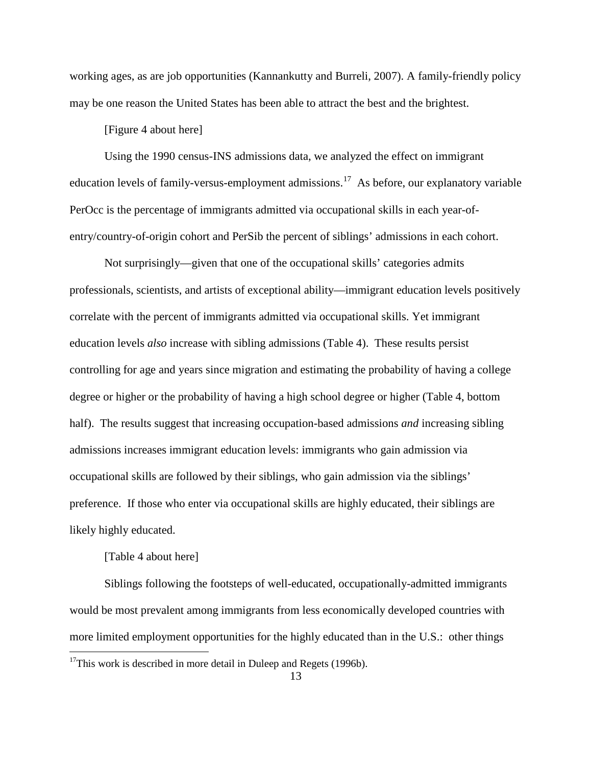working ages, as are job opportunities (Kannankutty and Burreli, 2007). A family-friendly policy may be one reason the United States has been able to attract the best and the brightest.

#### [Figure 4 about here]

Using the 1990 census-INS admissions data, we analyzed the effect on immigrant education levels of family-versus-employment admissions.<sup>[17](#page-14-0)</sup> As before, our explanatory variable PerOcc is the percentage of immigrants admitted via occupational skills in each year-ofentry/country-of-origin cohort and PerSib the percent of siblings' admissions in each cohort.

Not surprisingly—given that one of the occupational skills' categories admits professionals, scientists, and artists of exceptional ability—immigrant education levels positively correlate with the percent of immigrants admitted via occupational skills. Yet immigrant education levels *also* increase with sibling admissions (Table 4). These results persist controlling for age and years since migration and estimating the probability of having a college degree or higher or the probability of having a high school degree or higher (Table 4, bottom half). The results suggest that increasing occupation-based admissions *and* increasing sibling admissions increases immigrant education levels: immigrants who gain admission via occupational skills are followed by their siblings, who gain admission via the siblings' preference. If those who enter via occupational skills are highly educated, their siblings are likely highly educated.

#### [Table 4 about here]

<span id="page-15-0"></span>Siblings following the footsteps of well-educated, occupationally-admitted immigrants would be most prevalent among immigrants from less economically developed countries with more limited employment opportunities for the highly educated than in the U.S.: other things

 $17$ This work is described in more detail in Duleep and Regets (1996b).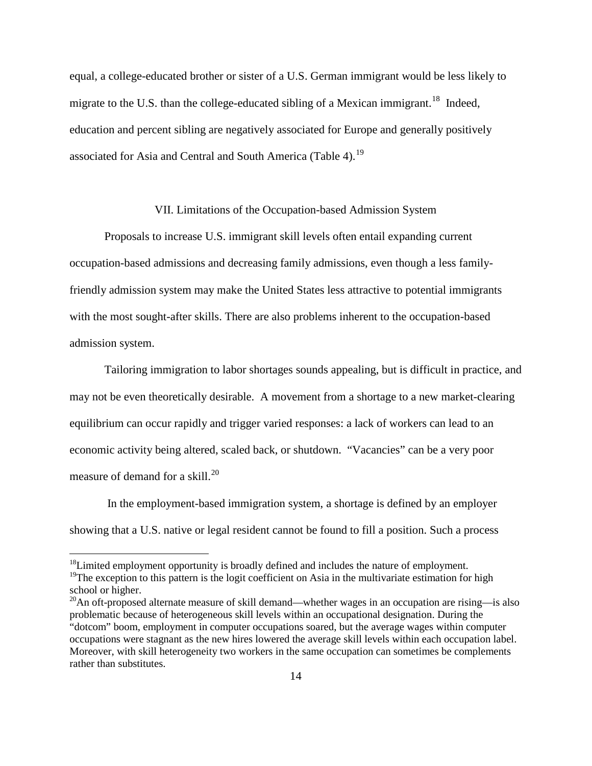equal, a college-educated brother or sister of a U.S. German immigrant would be less likely to migrate to the U.S. than the college-educated sibling of a Mexican immigrant.<sup>[18](#page-15-0)</sup> Indeed, education and percent sibling are negatively associated for Europe and generally positively associated for Asia and Central and South America (Table 4).<sup>[19](#page-16-0)</sup>

#### VII. Limitations of the Occupation-based Admission System

Proposals to increase U.S. immigrant skill levels often entail expanding current occupation-based admissions and decreasing family admissions, even though a less familyfriendly admission system may make the United States less attractive to potential immigrants with the most sought-after skills. There are also problems inherent to the occupation-based admission system.

Tailoring immigration to labor shortages sounds appealing, but is difficult in practice, and may not be even theoretically desirable. A movement from a shortage to a new market-clearing equilibrium can occur rapidly and trigger varied responses: a lack of workers can lead to an economic activity being altered, scaled back, or shutdown. "Vacancies" can be a very poor measure of demand for a skill. $^{20}$ 

In the employment-based immigration system, a shortage is defined by an employer showing that a U.S. native or legal resident cannot be found to fill a position. Such a process

 $18$ Limited employment opportunity is broadly defined and includes the nature of employment.

<span id="page-16-0"></span><sup>&</sup>lt;sup>19</sup>The exception to this pattern is the logit coefficient on Asia in the multivariate estimation for high school or higher.

<span id="page-16-2"></span><span id="page-16-1"></span> $^{20}$ An oft-proposed alternate measure of skill demand—whether wages in an occupation are rising—is also problematic because of heterogeneous skill levels within an occupational designation. During the "dotcom" boom, employment in computer occupations soared, but the average wages within computer occupations were stagnant as the new hires lowered the average skill levels within each occupation label. Moreover, with skill heterogeneity two workers in the same occupation can sometimes be complements rather than substitutes.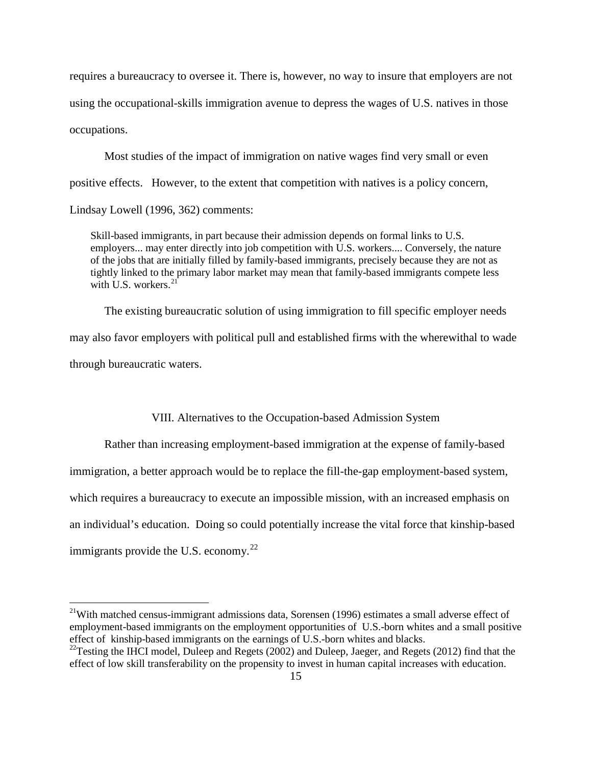requires a bureaucracy to oversee it. There is, however, no way to insure that employers are not using the occupational-skills immigration avenue to depress the wages of U.S. natives in those occupations.

Most studies of the impact of immigration on native wages find very small or even positive effects. However, to the extent that competition with natives is a policy concern, Lindsay Lowell (1996, 362) comments:

Skill-based immigrants, in part because their admission depends on formal links to U.S. employers... may enter directly into job competition with U.S. workers.... Conversely, the nature of the jobs that are initially filled by family-based immigrants, precisely because they are not as tightly linked to the primary labor market may mean that family-based immigrants compete less with U.S. workers. $21$ 

The existing bureaucratic solution of using immigration to fill specific employer needs may also favor employers with political pull and established firms with the wherewithal to wade through bureaucratic waters.

#### VIII. Alternatives to the Occupation-based Admission System

Rather than increasing employment-based immigration at the expense of family-based immigration, a better approach would be to replace the fill-the-gap employment-based system, which requires a bureaucracy to execute an impossible mission, with an increased emphasis on an individual's education. Doing so could potentially increase the vital force that kinship-based immigrants provide the U.S. economy. $^{22}$  $^{22}$  $^{22}$ 

<span id="page-17-1"></span> $21$ With matched census-immigrant admissions data, Sorensen (1996) estimates a small adverse effect of employment-based immigrants on the employment opportunities of U.S.-born whites and a small positive effect of kinship-based immigrants on the earnings of U.S.-born whites and blacks.

<span id="page-17-0"></span><sup>&</sup>lt;sup>22</sup>Testing the IHCI model, Duleep and Regets (2002) and Duleep, Jaeger, and Regets (2012) find that the effect of low skill transferability on the propensity to invest in human capital increases with education.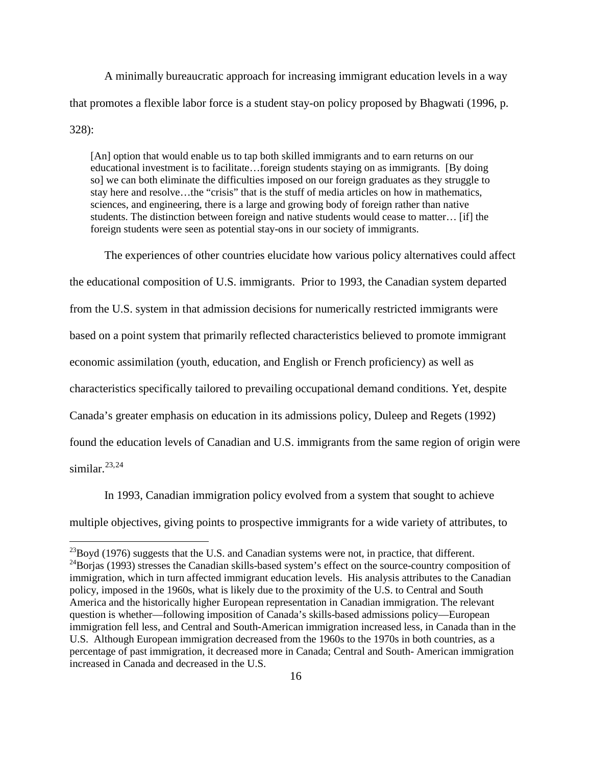A minimally bureaucratic approach for increasing immigrant education levels in a way that promotes a flexible labor force is a student stay-on policy proposed by Bhagwati (1996, p. 328):

[An] option that would enable us to tap both skilled immigrants and to earn returns on our educational investment is to facilitate…foreign students staying on as immigrants. [By doing so] we can both eliminate the difficulties imposed on our foreign graduates as they struggle to stay here and resolve…the "crisis" that is the stuff of media articles on how in mathematics, sciences, and engineering, there is a large and growing body of foreign rather than native students. The distinction between foreign and native students would cease to matter… [if] the foreign students were seen as potential stay-ons in our society of immigrants.

The experiences of other countries elucidate how various policy alternatives could affect the educational composition of U.S. immigrants. Prior to 1993, the Canadian system departed from the U.S. system in that admission decisions for numerically restricted immigrants were based on a point system that primarily reflected characteristics believed to promote immigrant economic assimilation (youth, education, and English or French proficiency) as well as characteristics specifically tailored to prevailing occupational demand conditions. Yet, despite Canada's greater emphasis on education in its admissions policy, Duleep and Regets (1992) found the education levels of Canadian and U.S. immigrants from the same region of origin were similar.<sup>[23](#page-17-1),24</sup>

In 1993, Canadian immigration policy evolved from a system that sought to achieve multiple objectives, giving points to prospective immigrants for a wide variety of attributes, to

<span id="page-18-1"></span><span id="page-18-0"></span><sup>&</sup>lt;sup>23</sup>Boyd (1976) suggests that the U.S. and Canadian systems were not, in practice, that different.<br><sup>24</sup>Borjas (1993) stresses the Canadian skills-based system's effect on the source-country composition of immigration, which in turn affected immigrant education levels. His analysis attributes to the Canadian policy, imposed in the 1960s, what is likely due to the proximity of the U.S. to Central and South America and the historically higher European representation in Canadian immigration. The relevant question is whether—following imposition of Canada's skills-based admissions policy—European immigration fell less, and Central and South-American immigration increased less, in Canada than in the U.S. Although European immigration decreased from the 1960s to the 1970s in both countries, as a percentage of past immigration, it decreased more in Canada; Central and South- American immigration increased in Canada and decreased in the U.S.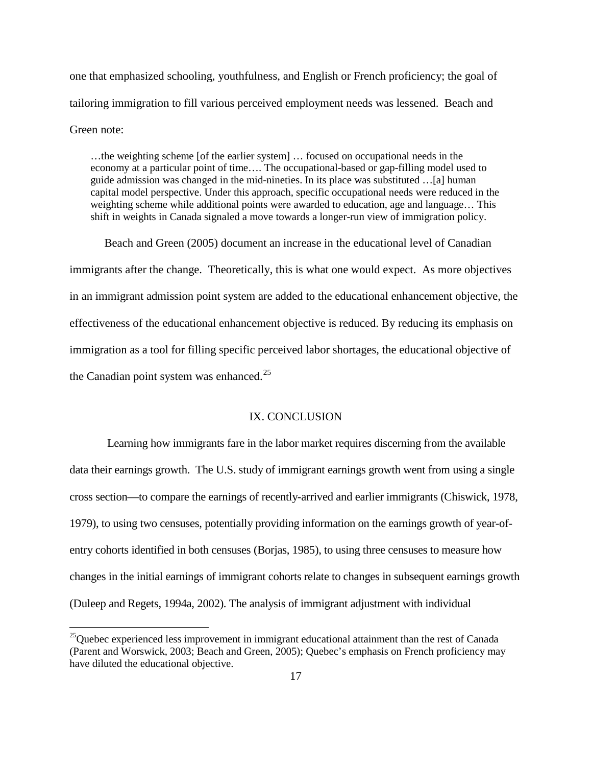one that emphasized schooling, youthfulness, and English or French proficiency; the goal of tailoring immigration to fill various perceived employment needs was lessened. Beach and Green note:

…the weighting scheme [of the earlier system] … focused on occupational needs in the economy at a particular point of time…. The occupational-based or gap-filling model used to guide admission was changed in the mid-nineties. In its place was substituted …[a] human capital model perspective. Under this approach, specific occupational needs were reduced in the weighting scheme while additional points were awarded to education, age and language… This shift in weights in Canada signaled a move towards a longer-run view of immigration policy.

Beach and Green (2005) document an increase in the educational level of Canadian immigrants after the change. Theoretically, this is what one would expect. As more objectives in an immigrant admission point system are added to the educational enhancement objective, the effectiveness of the educational enhancement objective is reduced. By reducing its emphasis on immigration as a tool for filling specific perceived labor shortages, the educational objective of the Canadian point system was enhanced.<sup>[25](#page-18-1)</sup>

#### IX. CONCLUSION

Learning how immigrants fare in the labor market requires discerning from the available data their earnings growth. The U.S. study of immigrant earnings growth went from using a single cross section—to compare the earnings of recently-arrived and earlier immigrants (Chiswick, 1978, 1979), to using two censuses, potentially providing information on the earnings growth of year-ofentry cohorts identified in both censuses (Borjas, 1985), to using three censuses to measure how changes in the initial earnings of immigrant cohorts relate to changes in subsequent earnings growth (Duleep and Regets, 1994a, 2002). The analysis of immigrant adjustment with individual

<span id="page-19-0"></span> $^{25}$ Quebec experienced less improvement in immigrant educational attainment than the rest of Canada (Parent and Worswick, 2003; Beach and Green, 2005); Quebec's emphasis on French proficiency may have diluted the educational objective.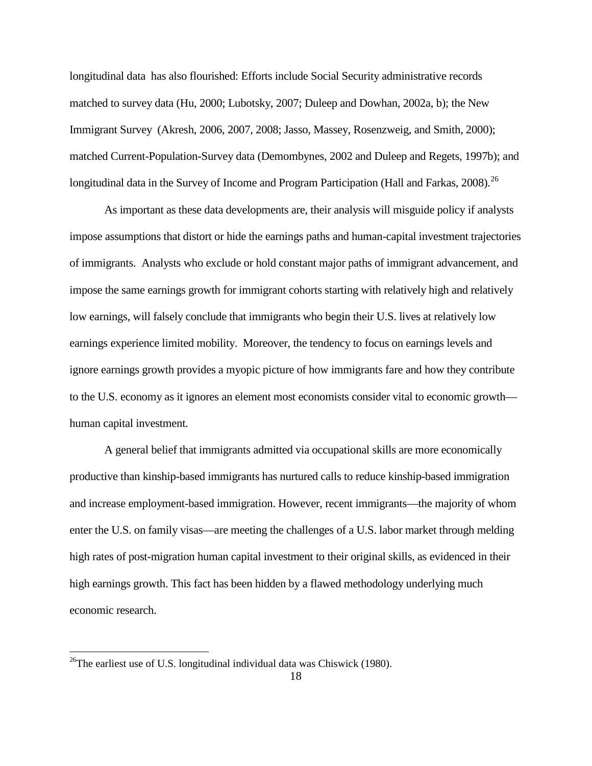longitudinal data has also flourished: Efforts include Social Security administrative records matched to survey data (Hu, 2000; Lubotsky, 2007; Duleep and Dowhan, 2002a, b); the New Immigrant Survey (Akresh, 2006, 2007, 2008; Jasso, Massey, Rosenzweig, and Smith, 2000); matched Current-Population-Survey data (Demombynes, 2002 and Duleep and Regets, 1997b); and longitudinal data in the Survey of Income and Program Participation (Hall and Farkas,  $2008$ ).<sup>26</sup>

As important as these data developments are, their analysis will misguide policy if analysts impose assumptions that distort or hide the earnings paths and human-capital investment trajectories of immigrants. Analysts who exclude or hold constant major paths of immigrant advancement, and impose the same earnings growth for immigrant cohorts starting with relatively high and relatively low earnings, will falsely conclude that immigrants who begin their U.S. lives at relatively low earnings experience limited mobility. Moreover, the tendency to focus on earnings levels and ignore earnings growth provides a myopic picture of how immigrants fare and how they contribute to the U.S. economy as it ignores an element most economists consider vital to economic growth human capital investment.

A general belief that immigrants admitted via occupational skills are more economically productive than kinship-based immigrants has nurtured calls to reduce kinship-based immigration and increase employment-based immigration. However, recent immigrants—the majority of whom enter the U.S. on family visas—are meeting the challenges of a U.S. labor market through melding high rates of post-migration human capital investment to their original skills, as evidenced in their high earnings growth. This fact has been hidden by a flawed methodology underlying much economic research.

<span id="page-20-0"></span><sup>&</sup>lt;sup>26</sup>The earliest use of U.S. longitudinal individual data was Chiswick (1980).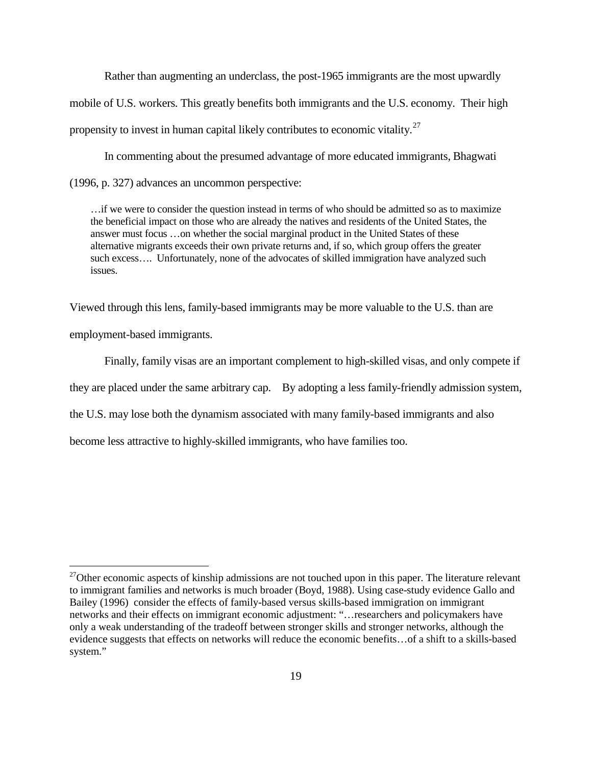Rather than augmenting an underclass, the post-1965 immigrants are the most upwardly mobile of U.S. workers. This greatly benefits both immigrants and the U.S. economy. Their high propensity to invest in human capital likely contributes to economic vitality.<sup>[27](#page-20-0)</sup>

In commenting about the presumed advantage of more educated immigrants, Bhagwati (1996, p. 327) advances an uncommon perspective:

…if we were to consider the question instead in terms of who should be admitted so as to maximize the beneficial impact on those who are already the natives and residents of the United States, the answer must focus …on whether the social marginal product in the United States of these alternative migrants exceeds their own private returns and, if so, which group offers the greater such excess…. Unfortunately, none of the advocates of skilled immigration have analyzed such issues.

Viewed through this lens, family-based immigrants may be more valuable to the U.S. than are employment-based immigrants.

Finally, family visas are an important complement to high-skilled visas, and only compete if they are placed under the same arbitrary cap. By adopting a less family-friendly admission system, the U.S. may lose both the dynamism associated with many family-based immigrants and also become less attractive to highly-skilled immigrants, who have families too.

 $27$ Other economic aspects of kinship admissions are not touched upon in this paper. The literature relevant to immigrant families and networks is much broader (Boyd, 1988). Using case-study evidence Gallo and Bailey (1996) consider the effects of family-based versus skills-based immigration on immigrant networks and their effects on immigrant economic adjustment: "…researchers and policymakers have only a weak understanding of the tradeoff between stronger skills and stronger networks, although the evidence suggests that effects on networks will reduce the economic benefits…of a shift to a skills-based system."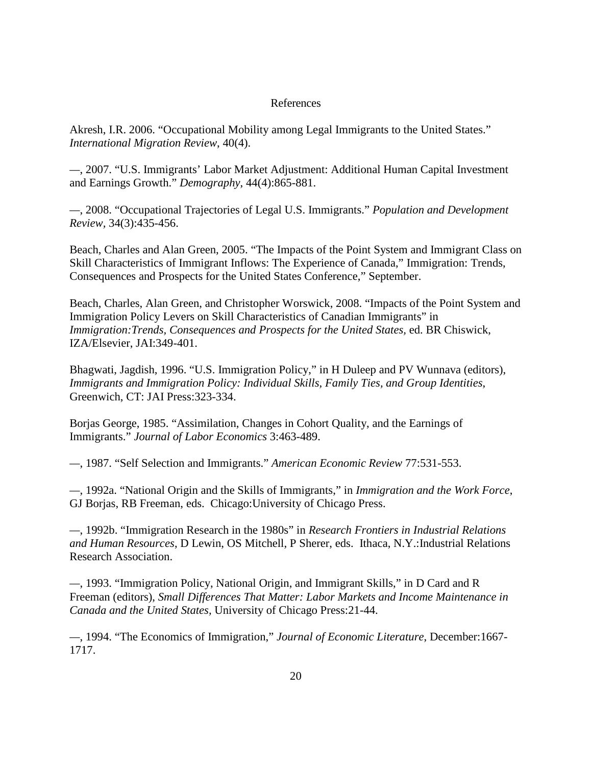#### References

Akresh, I.R. 2006. "Occupational Mobility among Legal Immigrants to the United States." *International Migration Review*, 40(4).

*—*, 2007. "U.S. Immigrants' Labor Market Adjustment: Additional Human Capital Investment and Earnings Growth." *Demography*, 44(4):865-881.

*—*, 2008. "Occupational Trajectories of Legal U.S. Immigrants." *Population and Development Review,* 34(3):435-456.

Beach, Charles and Alan Green, 2005. "The Impacts of the Point System and Immigrant Class on Skill Characteristics of Immigrant Inflows: The Experience of Canada," Immigration: Trends, Consequences and Prospects for the United States Conference," September.

Beach, Charles, Alan Green, and Christopher Worswick, 2008. "Impacts of the Point System and Immigration Policy Levers on Skill Characteristics of Canadian Immigrants" in *Immigration:Trends, Consequences and Prospects for the United States,* ed. BR Chiswick, IZA/Elsevier, JAI:349-401.

Bhagwati, Jagdish, 1996. "U.S. Immigration Policy," in H Duleep and PV Wunnava (editors), *Immigrants and Immigration Policy: Individual Skills, Family Ties, and Group Identities*, Greenwich, CT: JAI Press:323-334.

Borjas George, 1985. "Assimilation, Changes in Cohort Quality, and the Earnings of Immigrants." *Journal of Labor Economics* 3:463-489.

*—*, 1987. "Self Selection and Immigrants." *American Economic Review* 77:531-553.

*—*, 1992a. "National Origin and the Skills of Immigrants," in *Immigration and the Work Force*, GJ Borjas, RB Freeman, eds. Chicago:University of Chicago Press.

*—*, 1992b. "Immigration Research in the 1980s" in *Research Frontiers in Industrial Relations and Human Resources*, D Lewin, OS Mitchell, P Sherer, eds. Ithaca, N.Y.:Industrial Relations Research Association.

*—*, 1993. "Immigration Policy, National Origin, and Immigrant Skills," in D Card and R Freeman (editors), *Small Differences That Matter: Labor Markets and Income Maintenance in Canada and the United States,* University of Chicago Press:21-44.

*—*, 1994. "The Economics of Immigration," *Journal of Economic Literature*, December:1667- 1717.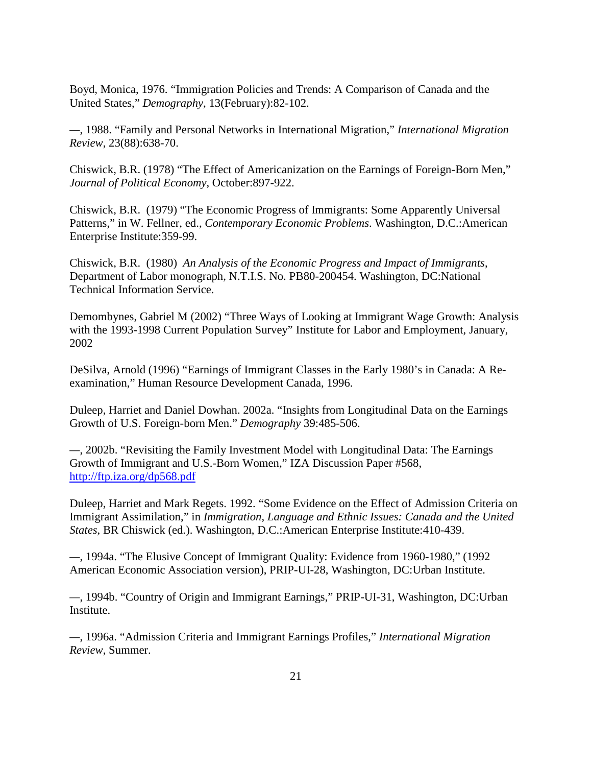Boyd, Monica, 1976. "Immigration Policies and Trends: A Comparison of Canada and the United States," *Demography*, 13(February):82-102.

*—*, 1988. "Family and Personal Networks in International Migration," *International Migration Review*, 23(88):638-70.

Chiswick, B.R. (1978) "The Effect of Americanization on the Earnings of Foreign-Born Men," *Journal of Political Economy*, October:897-922.

Chiswick, B.R. (1979) "The Economic Progress of Immigrants: Some Apparently Universal Patterns," in W. Fellner, ed., *Contemporary Economic Problems*. Washington, D.C.:American Enterprise Institute:359-99.

Chiswick, B.R. (1980) *An Analysis of the Economic Progress and Impact of Immigrants*, Department of Labor monograph, N.T.I.S. No. PB80-200454. Washington, DC:National Technical Information Service.

Demombynes, Gabriel M (2002) "Three Ways of Looking at Immigrant Wage Growth: Analysis with the 1993-1998 Current Population Survey" Institute for Labor and Employment, January, 2002

DeSilva, Arnold (1996) "Earnings of Immigrant Classes in the Early 1980's in Canada: A Reexamination," Human Resource Development Canada, 1996.

Duleep, Harriet and Daniel Dowhan. 2002a. "Insights from Longitudinal Data on the Earnings Growth of U.S. Foreign-born Men." *Demography* 39:485-506.

*—*, 2002b. "Revisiting the Family Investment Model with Longitudinal Data: The Earnings Growth of Immigrant and U.S.-Born Women," IZA Discussion Paper #568, <http://ftp.iza.org/dp568.pdf>

Duleep, Harriet and Mark Regets. 1992. "Some Evidence on the Effect of Admission Criteria on Immigrant Assimilation," in *Immigration, Language and Ethnic Issues: Canada and the United States*, BR Chiswick (ed.). Washington, D.C.:American Enterprise Institute:410-439.

*—*, 1994a. "The Elusive Concept of Immigrant Quality: Evidence from 1960-1980," (1992 American Economic Association version), PRIP-UI-28, Washington, DC:Urban Institute.

*—*, 1994b. "Country of Origin and Immigrant Earnings," PRIP-UI-31, Washington, DC:Urban **Institute** 

*—*, 1996a. "Admission Criteria and Immigrant Earnings Profiles," *International Migration Review*, Summer.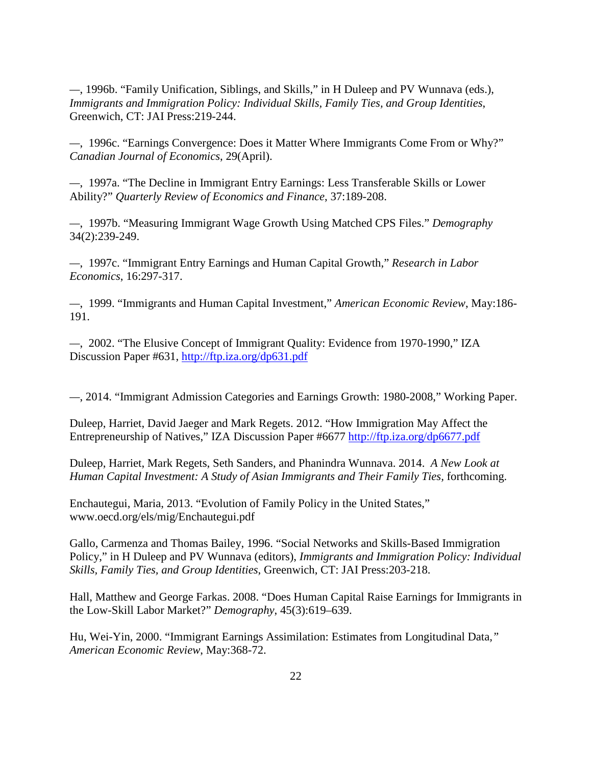*—*, 1996b. "Family Unification, Siblings, and Skills," in H Duleep and PV Wunnava (eds.), *Immigrants and Immigration Policy: Individual Skills, Family Ties, and Group Identities*, Greenwich, CT: JAI Press:219-244.

*—*, 1996c. "Earnings Convergence: Does it Matter Where Immigrants Come From or Why?" *Canadian Journal of Economics*, 29(April).

*—*, 1997a. "The Decline in Immigrant Entry Earnings: Less Transferable Skills or Lower Ability?" *Quarterly Review of Economics and Finance*, 37:189-208.

*—*, 1997b. "Measuring Immigrant Wage Growth Using Matched CPS Files." *Demography* 34(2):239-249.

*—*, 1997c. "Immigrant Entry Earnings and Human Capital Growth," *Research in Labor Economics*, 16:297-317.

*—*, 1999. "Immigrants and Human Capital Investment," *American Economic Review*, May:186- 191.

*—*, 2002. "The Elusive Concept of Immigrant Quality: Evidence from 1970-1990," IZA Discussion Paper #631, <http://ftp.iza.org/dp631.pdf>

*—*, 2014. "Immigrant Admission Categories and Earnings Growth: 1980-2008," Working Paper.

Duleep, Harriet, David Jaeger and Mark Regets. 2012. "How Immigration May Affect the Entrepreneurship of Natives," IZA Discussion Paper #6677<http://ftp.iza.org/dp6677.pdf>

Duleep, Harriet, Mark Regets, Seth Sanders, and Phanindra Wunnava. 2014. *A New Look at Human Capital Investment: A Study of Asian Immigrants and Their Family Ties, forthcoming.* 

Enchautegui, Maria, 2013. "Evolution of Family Policy in the United States," www.oecd.org/els/mig/Enchautegui.pdf

Gallo, Carmenza and Thomas Bailey, 1996. "Social Networks and Skills-Based Immigration Policy," in H Duleep and PV Wunnava (editors), *Immigrants and Immigration Policy: Individual Skills, Family Ties, and Group Identities*, Greenwich, CT: JAI Press:203-218.

Hall, Matthew and George Farkas. 2008. "Does Human Capital Raise Earnings for Immigrants in the Low-Skill Labor Market?" *Demography*, 45(3):619–639.

Hu, Wei-Yin, 2000. "Immigrant Earnings Assimilation: Estimates from Longitudinal Data*," American Economic Review*, May:368-72.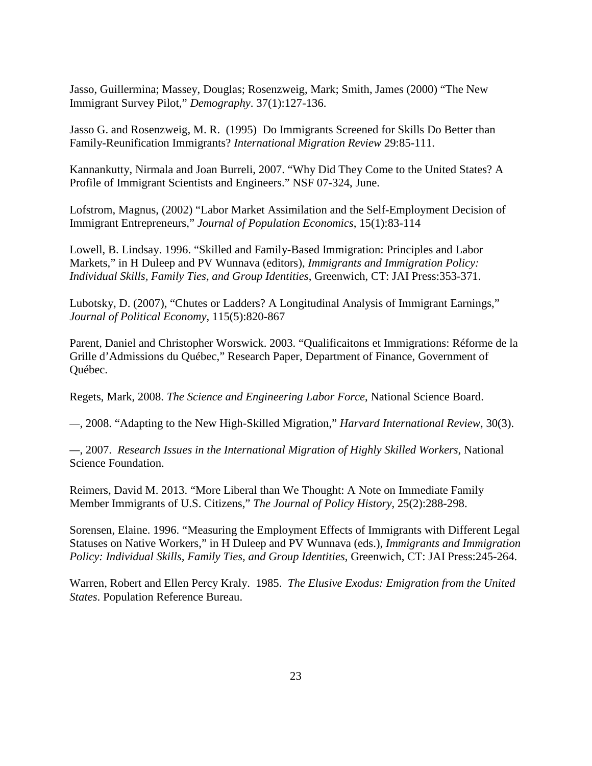Jasso, Guillermina; Massey, Douglas; Rosenzweig, Mark; Smith, James (2000) "The New Immigrant Survey Pilot," *Demography*. 37(1):127-136.

Jasso G. and Rosenzweig, M. R. (1995) Do Immigrants Screened for Skills Do Better than Family-Reunification Immigrants? *International Migration Review* 29:85-111.

Kannankutty, Nirmala and Joan Burreli, 2007. "Why Did They Come to the United States? A Profile of Immigrant Scientists and Engineers." NSF 07-324, June.

Lofstrom, Magnus, (2002) "Labor Market Assimilation and the Self-Employment Decision of Immigrant Entrepreneurs," *Journal of Population Economics*, 15(1):83-114

Lowell, B. Lindsay. 1996. "Skilled and Family-Based Immigration: Principles and Labor Markets," in H Duleep and PV Wunnava (editors), *Immigrants and Immigration Policy: Individual Skills, Family Ties, and Group Identities*, Greenwich, CT: JAI Press:353-371.

Lubotsky, D. (2007), "Chutes or Ladders? A Longitudinal Analysis of Immigrant Earnings," *Journal of Political Economy*, 115(5):820-867

Parent, Daniel and Christopher Worswick. 2003. "Qualificaitons et Immigrations: Réforme de la Grille d'Admissions du Québec," Research Paper, Department of Finance, Government of Québec.

Regets, Mark, 2008. *The Science and Engineering Labor Force*, National Science Board.

*—*, 2008. "Adapting to the New High-Skilled Migration," *Harvard International Review*, 30(3).

*—*, 2007. *Research Issues in the International Migration of Highly Skilled Workers*, National Science Foundation.

Reimers, David M. 2013. "More Liberal than We Thought: A Note on Immediate Family Member Immigrants of U.S. Citizens," *The Journal of Policy History*, 25(2):288-298.

Sorensen, Elaine. 1996. "Measuring the Employment Effects of Immigrants with Different Legal Statuses on Native Workers," in H Duleep and PV Wunnava (eds.), *Immigrants and Immigration Policy: Individual Skills, Family Ties, and Group Identities*, Greenwich, CT: JAI Press:245-264.

Warren, Robert and Ellen Percy Kraly. 1985. *The Elusive Exodus: Emigration from the United States*. Population Reference Bureau.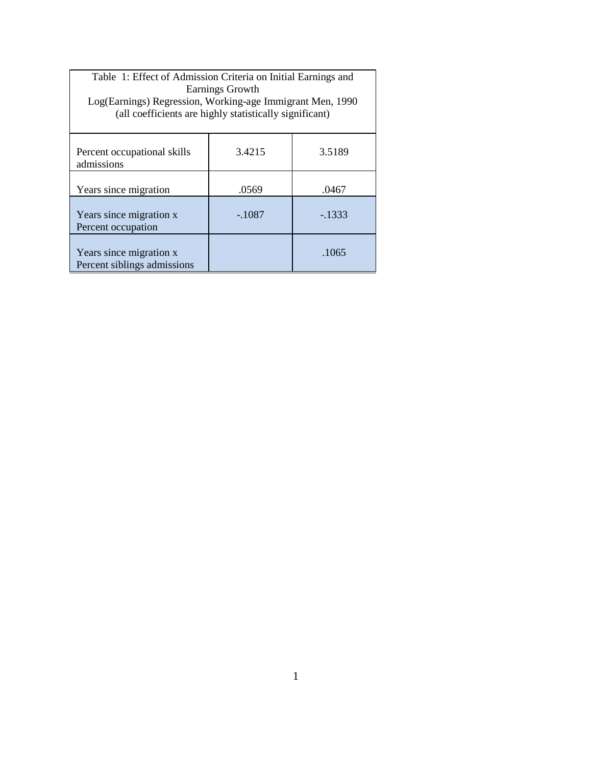| Table 1: Effect of Admission Criteria on Initial Earnings and<br>Earnings Growth<br>Log(Earnings) Regression, Working-age Immigrant Men, 1990<br>(all coefficients are highly statistically significant) |          |         |  |  |
|----------------------------------------------------------------------------------------------------------------------------------------------------------------------------------------------------------|----------|---------|--|--|
| Percent occupational skills<br>admissions                                                                                                                                                                | 3.4215   | 3.5189  |  |  |
| Years since migration                                                                                                                                                                                    | .0569    | .0467   |  |  |
| Years since migration x<br>Percent occupation                                                                                                                                                            | $-.1087$ | $-1333$ |  |  |
| Years since migration x<br>Percent siblings admissions                                                                                                                                                   |          | .1065   |  |  |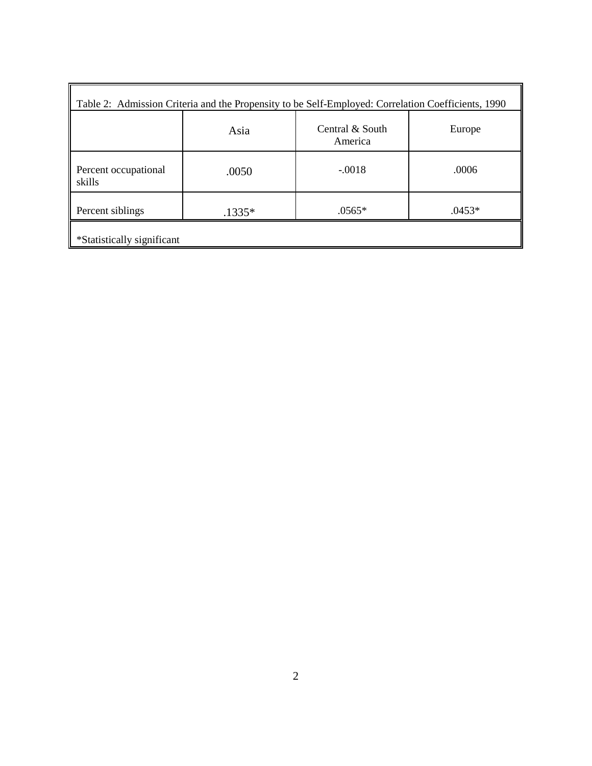| Table 2: Admission Criteria and the Propensity to be Self-Employed: Correlation Coefficients, 1990 |          |                            |          |  |  |
|----------------------------------------------------------------------------------------------------|----------|----------------------------|----------|--|--|
|                                                                                                    | Asia     | Central & South<br>America | Europe   |  |  |
| Percent occupational<br>skills                                                                     | .0050    | $-.0018$                   | .0006    |  |  |
| Percent siblings                                                                                   | $.1335*$ | .0565*                     | $.0453*$ |  |  |
| *Statistically significant                                                                         |          |                            |          |  |  |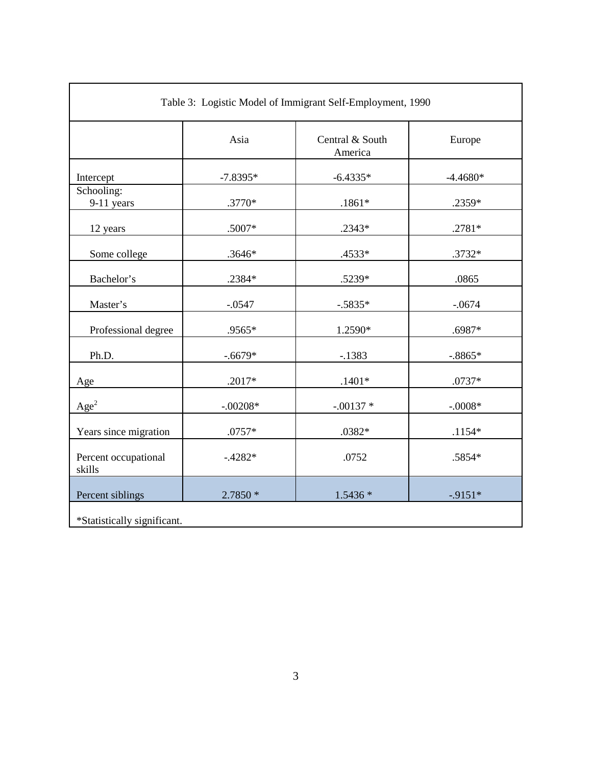| Table 3: Logistic Model of Immigrant Self-Employment, 1990 |            |                            |            |  |  |
|------------------------------------------------------------|------------|----------------------------|------------|--|--|
|                                                            | Asia       | Central & South<br>America | Europe     |  |  |
| Intercept                                                  | $-7.8395*$ | $-6.4335*$                 | $-4.4680*$ |  |  |
| Schooling:<br>9-11 years                                   | .3770*     | $.1861*$                   | .2359*     |  |  |
| 12 years                                                   | $.5007*$   | .2343*                     | $.2781*$   |  |  |
| Some college                                               | .3646*     | .4533*                     | .3732*     |  |  |
| Bachelor's                                                 | .2384*     | .5239*                     | .0865      |  |  |
| Master's                                                   | $-.0547$   | $-.5835*$                  | $-.0674$   |  |  |
| Professional degree                                        | .9565*     | 1.2590*                    | .6987*     |  |  |
| Ph.D.                                                      | $-.6679*$  | $-1383$                    | $-.8865*$  |  |  |
| Age                                                        | $.2017*$   | $.1401*$                   | $.0737*$   |  |  |
| Age <sup>2</sup>                                           | $-.00208*$ | $-.00137*$                 | $-.0008*$  |  |  |
| Years since migration                                      | $.0757*$   | .0382*                     | $.1154*$   |  |  |
| Percent occupational<br>skills                             | $-4282*$   | .0752                      | .5854*     |  |  |
| Percent siblings                                           | $2.7850*$  | $1.5436*$                  | $-9151*$   |  |  |
| *Statistically significant.                                |            |                            |            |  |  |

 $\mathsf{r}$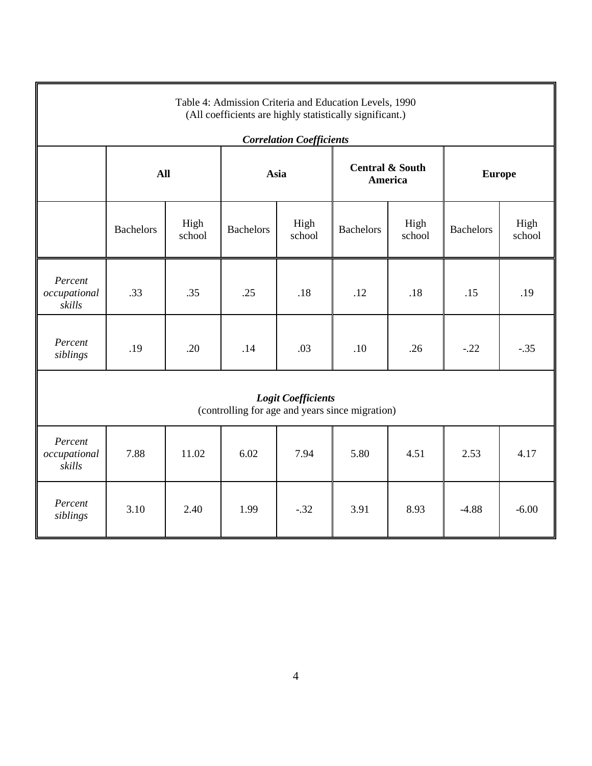| Table 4: Admission Criteria and Education Levels, 1990<br>(All coefficients are highly statistically significant.) |                  |                |                  |                                 |                                       |                |                  |                |
|--------------------------------------------------------------------------------------------------------------------|------------------|----------------|------------------|---------------------------------|---------------------------------------|----------------|------------------|----------------|
|                                                                                                                    |                  |                |                  | <b>Correlation Coefficients</b> |                                       |                |                  |                |
|                                                                                                                    | <b>All</b>       |                | Asia             |                                 | <b>Central &amp; South</b><br>America |                | <b>Europe</b>    |                |
|                                                                                                                    | <b>Bachelors</b> | High<br>school | <b>Bachelors</b> | High<br>school                  | <b>Bachelors</b>                      | High<br>school | <b>Bachelors</b> | High<br>school |
| Percent<br>occupational<br>skills                                                                                  | .33              | .35            | .25              | .18                             | .12                                   | .18            | .15              | .19            |
| Percent<br>siblings                                                                                                | .19              | .20            | .14              | .03                             | .10                                   | .26            | $-.22$           | $-.35$         |
| <b>Logit Coefficients</b><br>(controlling for age and years since migration)                                       |                  |                |                  |                                 |                                       |                |                  |                |
| Percent<br>occupational<br>skills                                                                                  | 7.88             | 11.02          | 6.02             | 7.94                            | 5.80                                  | 4.51           | 2.53             | 4.17           |
| Percent<br>siblings                                                                                                | 3.10             | 2.40           | 1.99             | $-.32$                          | 3.91                                  | 8.93           | $-4.88$          | $-6.00$        |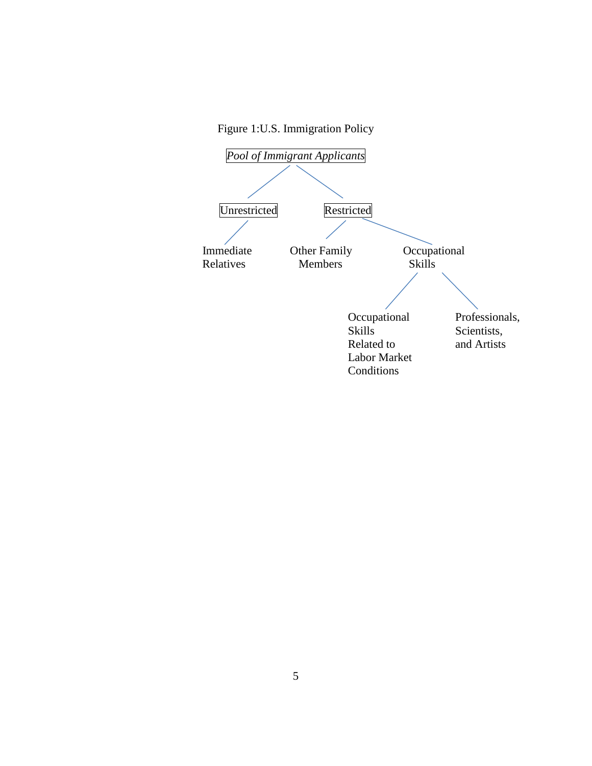Figure 1:U.S. Immigration Policy

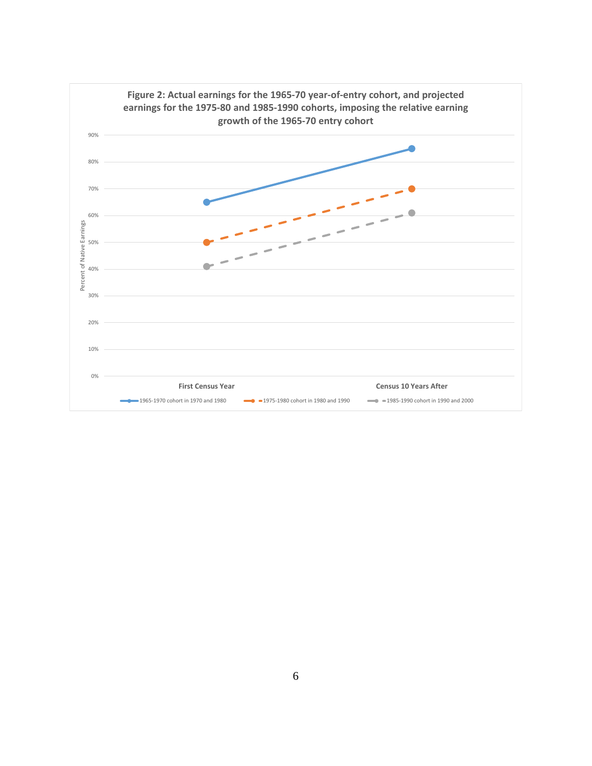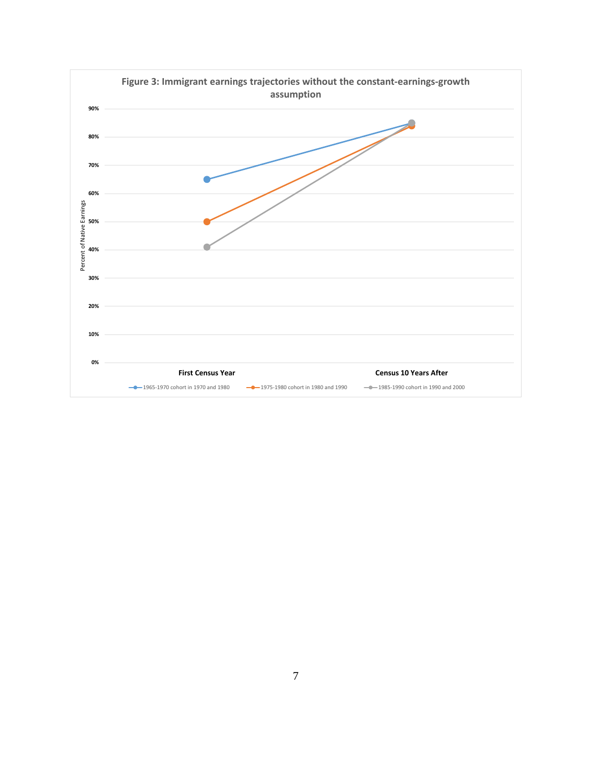